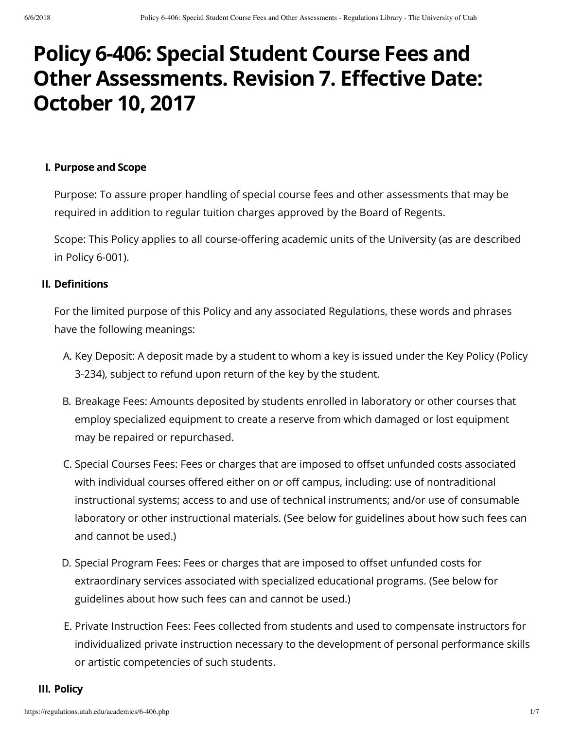# **Policy 6-406: Special Student Course Fees and Other Assessments. Revision 7. Effective Date: October 10, 2017**

#### **I. Purpose and Scope**

Purpose: To assure proper handling of special course fees and other assessments that may be required in addition to regular tuition charges approved by the Board of Regents.

Scope: This Policy applies to all course-offering academic units of the University (as are described in Policy 6-001).

#### **II. Definitions**

For the limited purpose of this Policy and any associated Regulations, these words and phrases have the following meanings:

- A. Key Deposit: A deposit made by a student to whom a key is issued under the Key Policy (Policy 3-234), subject to refund upon return of the key by the student.
- B. Breakage Fees: Amounts deposited by students enrolled in laboratory or other courses that employ specialized equipment to create a reserve from which damaged or lost equipment may be repaired or repurchased.
- C. Special Courses Fees: Fees or charges that are imposed to offset unfunded costs associated with individual courses offered either on or off campus, including: use of nontraditional instructional systems; access to and use of technical instruments; and/or use of consumable laboratory or other instructional materials. (See below for guidelines about how such fees can and cannot be used.)
- D. Special Program Fees: Fees or charges that are imposed to offset unfunded costs for extraordinary services associated with specialized educational programs. (See below for guidelines about how such fees can and cannot be used.)
- E. Private Instruction Fees: Fees collected from students and used to compensate instructors for individualized private instruction necessary to the development of personal performance skills or artistic competencies of such students.

#### **III. Policy**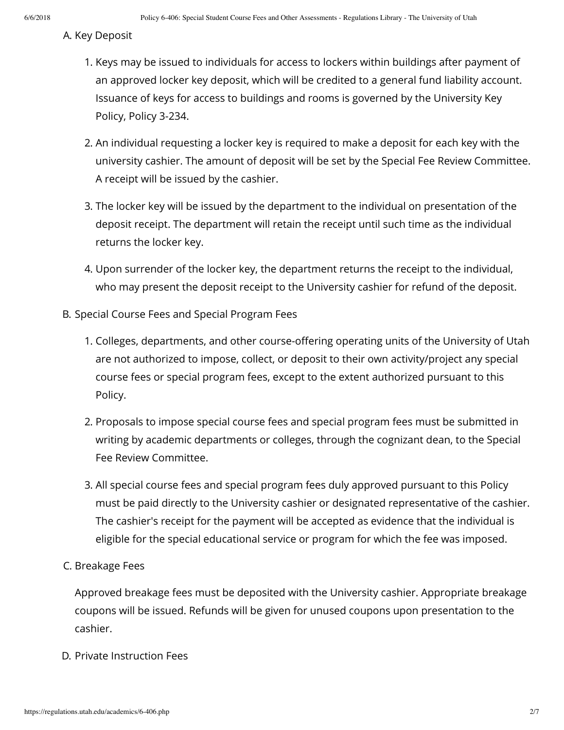#### A. Key Deposit

- 1. Keys may be issued to individuals for access to lockers within buildings after payment of an approved locker key deposit, which will be credited to a general fund liability account. Issuance of keys for access to buildings and rooms is governed by the University Key Policy, Policy 3-234.
- 2. An individual requesting a locker key is required to make a deposit for each key with the university cashier. The amount of deposit will be set by the Special Fee Review Committee. A receipt will be issued by the cashier.
- 3. The locker key will be issued by the department to the individual on presentation of the deposit receipt. The department will retain the receipt until such time as the individual returns the locker key.
- 4. Upon surrender of the locker key, the department returns the receipt to the individual, who may present the deposit receipt to the University cashier for refund of the deposit.
- B. Special Course Fees and Special Program Fees
	- 1. Colleges, departments, and other course-offering operating units of the University of Utah are not authorized to impose, collect, or deposit to their own activity/project any special course fees or special program fees, except to the extent authorized pursuant to this Policy.
	- 2. Proposals to impose special course fees and special program fees must be submitted in writing by academic departments or colleges, through the cognizant dean, to the Special Fee Review Committee.
	- 3. All special course fees and special program fees duly approved pursuant to this Policy must be paid directly to the University cashier or designated representative of the cashier. The cashier's receipt for the payment will be accepted as evidence that the individual is eligible for the special educational service or program for which the fee was imposed.

#### C. Breakage Fees

Approved breakage fees must be deposited with the University cashier. Appropriate breakage coupons will be issued. Refunds will be given for unused coupons upon presentation to the cashier.

D. Private Instruction Fees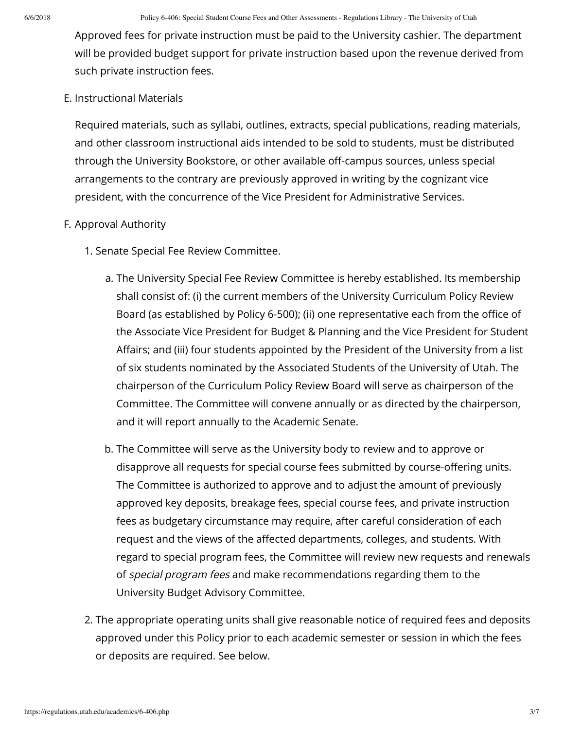Approved fees for private instruction must be paid to the University cashier. The department will be provided budget support for private instruction based upon the revenue derived from such private instruction fees.

#### E. Instructional Materials

Required materials, such as syllabi, outlines, extracts, special publications, reading materials, and other classroom instructional aids intended to be sold to students, must be distributed through the University Bookstore, or other available off-campus sources, unless special arrangements to the contrary are previously approved in writing by the cognizant vice president, with the concurrence of the Vice President for Administrative Services.

#### F. Approval Authority

- 1. Senate Special Fee Review Committee.
	- a. The University Special Fee Review Committee is hereby established. Its membership shall consist of: (i) the current members of the University Curriculum Policy Review Board (as established by Policy 6-500); (ii) one representative each from the office of the Associate Vice President for Budget & Planning and the Vice President for Student Affairs; and (iii) four students appointed by the President of the University from a list of six students nominated by the Associated Students of the University of Utah. The chairperson of the Curriculum Policy Review Board will serve as chairperson of the Committee. The Committee will convene annually or as directed by the chairperson, and it will report annually to the Academic Senate.
	- b. The Committee will serve as the University body to review and to approve or disapprove all requests for special course fees submitted by course-offering units. The Committee is authorized to approve and to adjust the amount of previously approved key deposits, breakage fees, special course fees, and private instruction fees as budgetary circumstance may require, after careful consideration of each request and the views of the affected departments, colleges, and students. With regard to special program fees, the Committee will review new requests and renewals of *special program fees* and make recommendations regarding them to the University Budget Advisory Committee.
- 2. The appropriate operating units shall give reasonable notice of required fees and deposits approved under this Policy prior to each academic semester or session in which the fees or deposits are required. See below.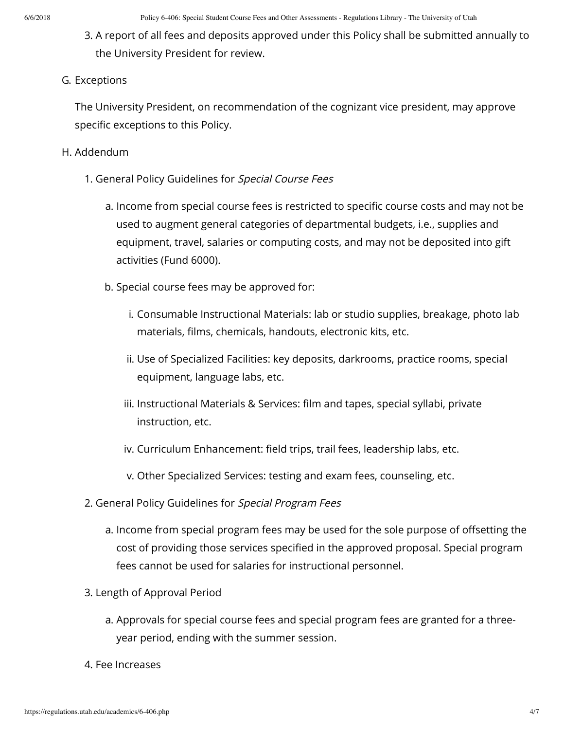3. A report of all fees and deposits approved under this Policy shall be submitted annually to the University President for review.

#### G. Exceptions

The University President, on recommendation of the cognizant vice president, may approve specific exceptions to this Policy.

#### H. Addendum

- 1. General Policy Guidelines for Special Course Fees
	- a. Income from special course fees is restricted to specific course costs and may not be used to augment general categories of departmental budgets, i.e., supplies and equipment, travel, salaries or computing costs, and may not be deposited into gift activities (Fund 6000).
	- b. Special course fees may be approved for:
		- i. Consumable Instructional Materials: lab or studio supplies, breakage, photo lab materials, films, chemicals, handouts, electronic kits, etc.
		- ii. Use of Specialized Facilities: key deposits, darkrooms, practice rooms, special equipment, language labs, etc.
		- iii. Instructional Materials & Services: film and tapes, special syllabi, private instruction, etc.
		- iv. Curriculum Enhancement: field trips, trail fees, leadership labs, etc.
		- v. Other Specialized Services: testing and exam fees, counseling, etc.
- 2. General Policy Guidelines for Special Program Fees
	- a. Income from special program fees may be used for the sole purpose of offsetting the cost of providing those services specified in the approved proposal. Special program fees cannot be used for salaries for instructional personnel.
- 3. Length of Approval Period
	- a. Approvals for special course fees and special program fees are granted for a threeyear period, ending with the summer session.
- 4. Fee Increases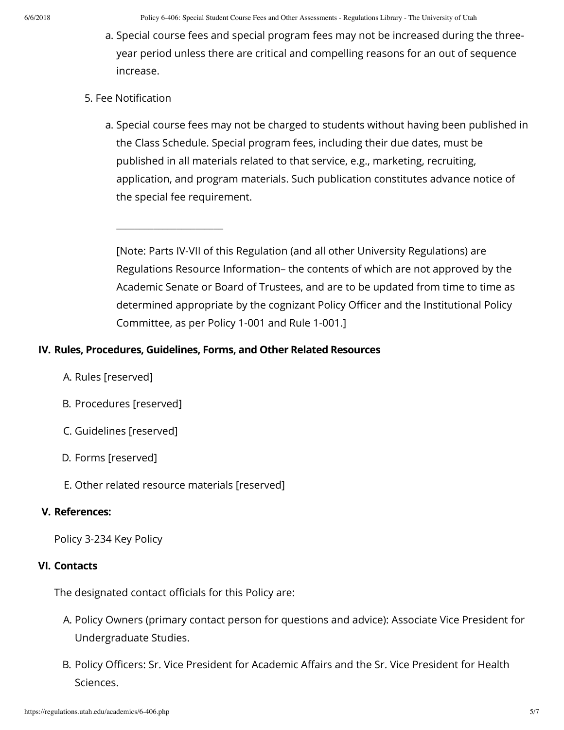6/6/2018 Policy 6-406: Special Student Course Fees and Other Assessments - Regulations Library - The University of Utah

- a. Special course fees and special program fees may not be increased during the threeyear period unless there are critical and compelling reasons for an out of sequence increase.
- 5. Fee Notification
	- a. Special course fees may not be charged to students without having been published in the Class Schedule. Special program fees, including their due dates, must be published in all materials related to that service, e.g., marketing, recruiting, application, and program materials. Such publication constitutes advance notice of the special fee requirement.

[Note: Parts IV-VII of this Regulation (and all other University Regulations) are Regulations Resource Information– the contents of which are not approved by the Academic Senate or Board of Trustees, and are to be updated from time to time as determined appropriate by the cognizant Policy Officer and the Institutional Policy Committee, as per Policy 1-001 and Rule 1-001.]

### **IV. Rules, Procedures, Guidelines, Forms, and Other Related Resources**

- A. Rules [reserved]
- B. Procedures [reserved]
- C. Guidelines [reserved]
- D. Forms [reserved]
- E. Other related resource materials [reserved]

\_\_\_\_\_\_\_\_\_\_\_\_\_\_\_\_\_\_\_\_\_\_\_

#### **V. References:**

Policy 3-234 Key Policy

#### **VI. Contacts**

The designated contact officials for this Policy are:

- A. Policy Owners (primary contact person for questions and advice): Associate Vice President for Undergraduate Studies.
- B. Policy Officers: Sr. Vice President for Academic Affairs and the Sr. Vice President for Health Sciences.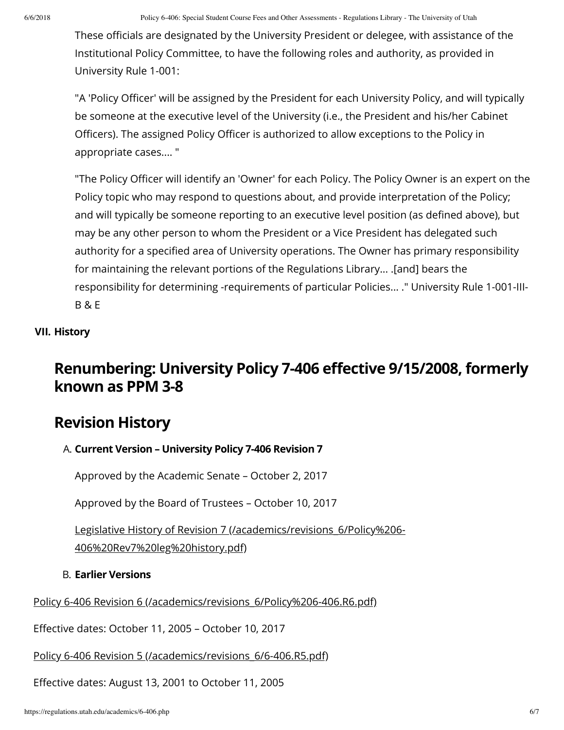These officials are designated by the University President or delegee, with assistance of the Institutional Policy Committee, to have the following roles and authority, as provided in University Rule 1-001:

"A 'Policy Officer' will be assigned by the President for each University Policy, and will typically be someone at the executive level of the University (i.e., the President and his/her Cabinet Officers). The assigned Policy Officer is authorized to allow exceptions to the Policy in appropriate cases.... "

"The Policy Officer will identify an 'Owner' for each Policy. The Policy Owner is an expert on the Policy topic who may respond to questions about, and provide interpretation of the Policy; and will typically be someone reporting to an executive level position (as defined above), but may be any other person to whom the President or a Vice President has delegated such authority for a specified area of University operations. The Owner has primary responsibility for maintaining the relevant portions of the Regulations Library... .[and] bears the responsibility for determining -requirements of particular Policies... ." University Rule 1-001-III-B & E

### **VII. History**

# **Renumbering: University Policy 7-406 effective 9/15/2008, formerly known as PPM 3-8**

# **Revision History**

## A. **Current Version – University Policy 7-406 Revision 7**

Approved by the Academic Senate – October 2, 2017

Approved by the Board of Trustees – October 10, 2017

[Legislative History of Revision 7 \(/academics/revisions\\_6/Policy%206-](https://regulations.utah.edu/academics/revisions_6/Policy%206-406%20Rev7%20leg%20history.pdf) 406%20Rev7%20leg%20history.pdf)

#### B. **Earlier Versions**

[Policy 6-406 Revision 6 \(/academics/revisions\\_6/Policy%206-406.R6.pdf\)](https://regulations.utah.edu/academics/revisions_6/Policy%206-406.R6.pdf)

Effective dates: October 11, 2005 - October 10, 2017

[Policy 6-406 Revision 5 \(/academics/revisions\\_6/6-406.R5.pdf\)](https://regulations.utah.edu/academics/revisions_6/6-406.R5.pdf)

Effective dates: August 13, 2001 to October 11, 2005